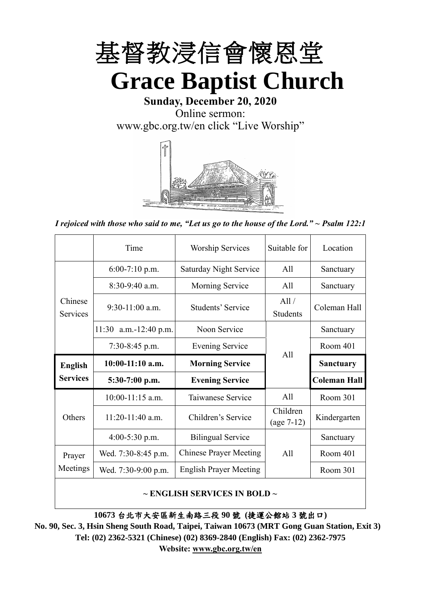

**Sunday, December 20, 2020** Online sermon:

[www.gbc.org.tw/en](http://www.gbc.org.tw/en) click "Live Worship"



*I rejoiced with those who said to me, "Let us go to the house of the Lord." ~ Psalm 122:1*

|                            | Time                  | <b>Worship Services</b>       | Suitable for             | Location            |
|----------------------------|-----------------------|-------------------------------|--------------------------|---------------------|
|                            | $6:00-7:10$ p.m.      | <b>Saturday Night Service</b> | A11                      | Sanctuary           |
|                            | $8:30-9:40$ a.m.      | Morning Service               | All                      | Sanctuary           |
| Chinese<br><b>Services</b> | $9:30-11:00$ a.m.     | Students' Service             | All /<br><b>Students</b> | Coleman Hall        |
|                            | 11:30 a.m.-12:40 p.m. | Noon Service                  |                          | Sanctuary           |
|                            | $7:30-8:45$ p.m.      | <b>Evening Service</b>        | All                      | Room 401            |
|                            |                       |                               |                          |                     |
| <b>English</b>             | $10:00-11:10$ a.m.    | <b>Morning Service</b>        |                          | <b>Sanctuary</b>    |
| <b>Services</b>            | $5:30-7:00$ p.m.      | <b>Evening Service</b>        |                          | <b>Coleman Hall</b> |
|                            | $10:00-11:15$ a.m.    | Taiwanese Service             | A11                      | Room 301            |
| Others                     | $11:20-11:40$ a.m.    | Children's Service            | Children<br>$(age 7-12)$ | Kindergarten        |
|                            | $4:00-5:30$ p.m.      | <b>Bilingual Service</b>      |                          | Sanctuary           |
| Prayer                     | Wed. 7:30-8:45 p.m.   | <b>Chinese Prayer Meeting</b> | A11                      | Room 401            |
| Meetings                   | Wed. 7:30-9:00 p.m.   | <b>English Prayer Meeting</b> |                          | Room 301            |

#### **~ ENGLISH SERVICES IN BOLD ~**

**10673** 台北市大安區新生南路三段 **90** 號 **(**捷運公館站 **3** 號出口**)**

**No. 90, Sec. 3, Hsin Sheng South Road, Taipei, Taiwan 10673 (MRT Gong Guan Station, Exit 3) Tel: (02) 2362-5321 (Chinese) (02) 8369-2840 (English) Fax: (02) 2362-7975 Website: [www.gbc.org.tw/en](http://www.gbc.org.tw/en)**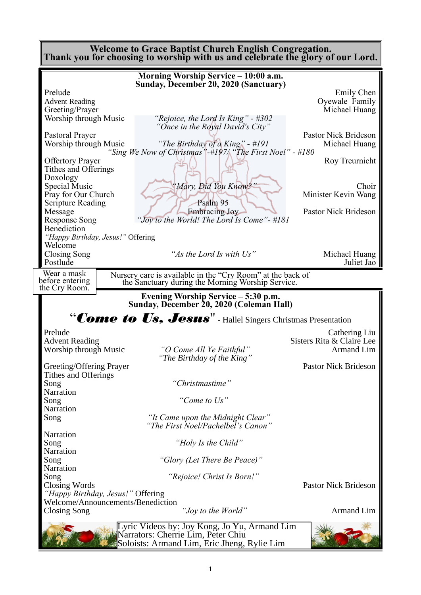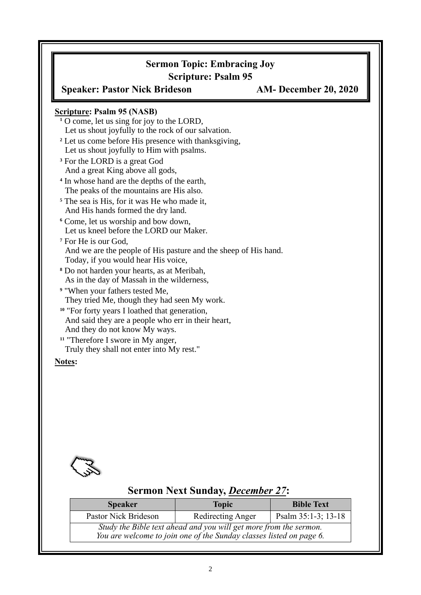# **Sermon Topic: Embracing Joy Scripture: Psalm 95 Speaker: Pastor Nick Brideson AM- December 20, 2020 Scripture: Psalm 95 (NASB) <sup>1</sup>** O come, let us sing for joy to the LORD, Let us shout joyfully to the rock of our salvation. **<sup>2</sup>** Let us come before His presence with thanksgiving, Let us shout joyfully to Him with psalms. **<sup>3</sup>** For the LORD is a great God And a great King above all gods, **4** In whose hand are the depths of the earth, The peaks of the mountains are His also. **<sup>5</sup>** The sea is His, for it was He who made it, And His hands formed the dry land. **<sup>6</sup>** Come, let us worship and bow down, Let us kneel before the LORD our Maker. **<sup>7</sup>** For He is our God, And we are the people of His pasture and the sheep of His hand. Today, if you would hear His voice, **<sup>8</sup>** Do not harden your hearts, as at Meribah, As in the day of Massah in the wilderness, **<sup>9</sup>** "When your fathers tested Me, They tried Me, though they had seen My work. **<sup>10</sup>** "For forty years I loathed that generation, And said they are a people who err in their heart, And they do not know My ways. **<sup>11</sup>** "Therefore I swore in My anger, Truly they shall not enter into My rest." **Notes:**



# **Sermon Next Sunday,** *December 27***:**

| <b>Speaker</b>                                                                                                                           | <b>Topic</b>      | <b>Bible Text</b>      |  |  |
|------------------------------------------------------------------------------------------------------------------------------------------|-------------------|------------------------|--|--|
| Pastor Nick Brideson                                                                                                                     | Redirecting Anger | Psalm $35:1-3$ ; 13-18 |  |  |
| Study the Bible text ahead and you will get more from the sermon.<br>You are welcome to join one of the Sunday classes listed on page 6. |                   |                        |  |  |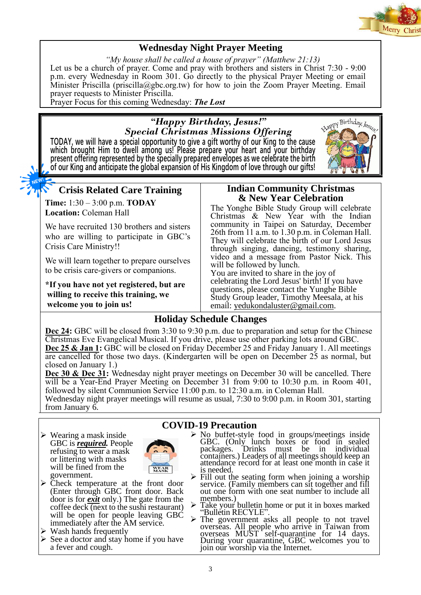

## **Wednesday Night Prayer Meeting**

*"My house shall be called a house of prayer" (Matthew 21:13)* Let us be a church of prayer. Come and pray with brothers and sisters in Christ 7:30 - 9:00 p.m. every Wednesday in Room 301. Go directly to the physical Prayer Meeting or email Minister Priscilla (priscilla@gbc.org.tw) for how to join the Zoom Prayer Meeting. Email prayer requests to Minister Priscilla.

Prayer Focus for this coming Wednesday: *The Lost*

## *"Happy Birthday, Jesus!" Special Christmas Missions Offering*

**TODAY, we will have a special opportunity to give a gift worthy of our King to the cause which brought Him to dwell among us! Please prepare your heart and your birthday present offering represented by the specially prepared envelopes as we celebrate the birth of our King and anticipate the global expansion of His Kingdom of love through our gifts!**



# **Crisis Related Care Training**

**Time:** 1:30 – 3:00 p.m. **TODAY Location:** Coleman Hall

We have recruited 130 brothers and sisters who are willing to participate in GBC's Crisis Care Ministry!!

We will learn together to prepare ourselves to be crisis care-givers or companions.

**\*If you have not yet registered, but are willing to receive this training, we welcome you to join us!**

#### **Indian Community Christmas & New Year Celebration**

The Yonghe Bible Study Group will celebrate Christmas & New Year with the Indian community in Taipei on Saturday, December 26th from 11 a.m. to 1.30 p.m. in Coleman Hall. They will celebrate the birth of our Lord Jesus through singing, dancing, testimony sharing, video and a message from Pastor Nick. This will be followed by lunch.

You are invited to share in the joy of celebrating the Lord Jesus' birth! If you have questions, please contact the Yunghe Bible Study Group leader, Timothy Meesala, at his email: [yedukondaluster@gmail.com.](mailto:yedukondaluster@gmail.com)

## **Holiday Schedule Changes**

**Dec 24:** GBC will be closed from 3:30 to 9:30 p.m. due to preparation and setup for the Chinese Christmas Eve Evangelical Musical. If you drive, please use other parking lots around GBC. **Dec 25 & Jan 1:** GBC will be closed on Friday December 25 and Friday January 1. All meetings are cancelled for those two days. (Kindergarten will be open on December 25 as normal, but closed on January 1.)

**Dec 30 & Dec 31:** Wednesday night prayer meetings on December 30 will be cancelled. There will be a Year-End Prayer Meeting on December 31 from 9:00 to 10:30 p.m. in Room 401, followed by silent Communion Service 11:00 p.m. to 12:30 a.m. in Coleman Hall.

Wednesday night prayer meetings will resume as usual, 7:30 to 9:00 p.m. in Room 301, starting from January 6.

- $\triangleright$  Wearing a mask inside GBC is *required.* People refusing to wear a mask or littering with masks will be fined from the government.
- ➢ Check temperature at the front door (Enter through GBC front door. Back door is for *exit* only.) The gate from the coffee deck (next to the sushi restaurant) will be open for people leaving GBC immediately after the AM service.

WEAR

- ➢ Wash hands frequently
- $\triangleright$  See a doctor and stay home if you have a fever and cough.

#### **COVID-19 Precaution**

- ➢ No buffet-style food in groups/meetings inside GBC. (Only lunch boxes or food in sealed packages. Drinks must be in individual packages. Drinks must be in individual containers.) Leaders of all meetings should keep an attendance record for at least one month in case it is needed.
- $\triangleright$  Fill out the seating form when joining a worship service. (Family members can sit together and fill out one form with one seat number to include all members.)
- ➢ Take your bulletin home or put it in boxes marked "Bulletin RECYLE".
- ➢ The government asks all people to not travel overseas. All people who arrive in Taiwan from overseas  $MUST$  self-quarantine for 14 days. During your quarantine, GBC welcomes you to join our worship via the Internet.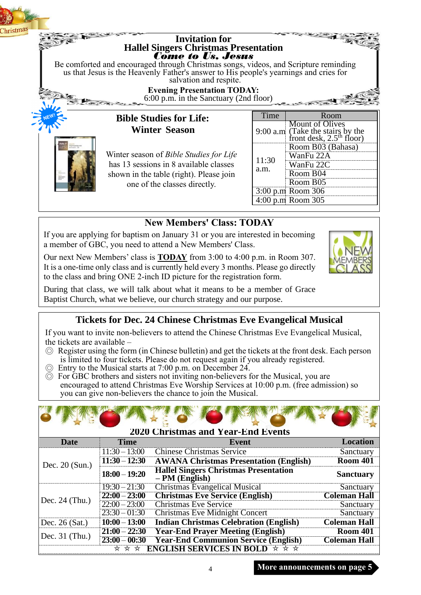

# **New Members' Class: TODAY**

4:00 p.m.Room 305

If you are applying for baptism on January 31 or you are interested in becoming a member of GBC, you need to attend a New Members' Class.

Our next New Members' class is **TODAY** from 3:00 to 4:00 p.m. in Room 307. It is a one-time only class and is currently held every 3 months. Please go directly to the class and bring ONE 2-inch ID picture for the registration form.

During that class, we will talk about what it means to be a member of Grace Baptist Church, what we believe, our church strategy and our purpose.

## **Tickets for Dec. 24 Chinese Christmas Eve Evangelical Musical**

If you want to invite non-believers to attend the Chinese Christmas Eve Evangelical Musical, the tickets are available –

- ◎ Register using the form (in Chinese bulletin) and get the tickets at the front desk. Each person is limited to four tickets. Please do not request again if you already registered.
- ◎ Entry to the Musical starts at 7:00 p.m. on December 24.
- ◎ For GBC brothers and sisters not inviting non-believers for the Musical, you are encouraged to attend Christmas Eve Worship Services at 10:00 p.m. (free admission) so you can give non-believers the chance to join the Musical.

|                                                                         | <b>2020 Christmas and Year-End Events</b> |                                                                 |                     |  |  |  |
|-------------------------------------------------------------------------|-------------------------------------------|-----------------------------------------------------------------|---------------------|--|--|--|
| <b>Date</b>                                                             | <b>Time</b>                               | Event                                                           | <b>Location</b>     |  |  |  |
|                                                                         | $11:30 - 13:00$                           | <b>Chinese Christmas Service</b>                                | Sanctuary           |  |  |  |
| Dec. $20$ (Sun.)                                                        | $11:30 - 12:30$                           | <b>AWANA Christmas Presentation (English)</b>                   | <b>Room 401</b>     |  |  |  |
|                                                                         | $18:00 - 19:20$                           | <b>Hallel Singers Christmas Presentation</b><br>$-PM$ (English) | <b>Sanctuary</b>    |  |  |  |
|                                                                         | $19:30 - 21:30$                           | <b>Christmas Evangelical Musical</b>                            | Sanctuary           |  |  |  |
| Dec. $24$ (Thu.)                                                        | $22:00 - 23:00$                           | <b>Christmas Eve Service (English)</b>                          | <b>Coleman Hall</b> |  |  |  |
|                                                                         | $22:00 - 23:00$                           | <b>Christmas Eve Service</b>                                    | Sanctuary           |  |  |  |
|                                                                         | $23:30 - 01:30$                           | <b>Christmas Eve Midnight Concert</b>                           | Sanctuary           |  |  |  |
| Dec. 26 (Sat.)                                                          | $10:00 - 13:00$                           | <b>Indian Christmas Celebration (English)</b>                   | <b>Coleman Hall</b> |  |  |  |
|                                                                         | $21:00 - 22:30$                           | <b>Year-End Prayer Meeting (English)</b>                        | <b>Room 401</b>     |  |  |  |
| Dec. $31$ (Thu.)                                                        | $23:00 - 00:30$                           | <b>Year-End Communion Service (English)</b>                     | <b>Coleman Hall</b> |  |  |  |
| <b>ENGLISH SERVICES IN BOLD <math>\star \star \star</math></b><br>* * * |                                           |                                                                 |                     |  |  |  |

**More announcements on page 5**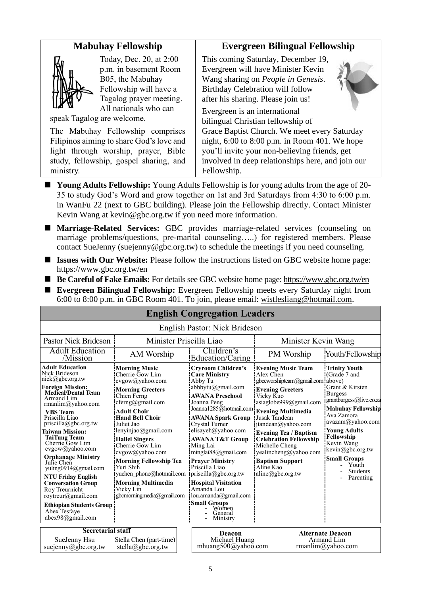## **Mabuhay Fellowship**



Today, Dec. 20, at 2:00 p.m. in basement Room B05, the Mabuhay Fellowship will have a Tagalog prayer meeting. All nationals who can

speak Tagalog are welcome.

The Mabuhay Fellowship comprises Filipinos aiming to share God's love and light through worship, prayer, Bible study, fellowship, gospel sharing, and ministry.

### **Evergreen Bilingual Fellowship**

This coming Saturday, December 19, Evergreen will have Minister Kevin Wang sharing on *People in Genesis*. Birthday Celebration will follow after his sharing. Please join us!

Evergreen is an international

bilingual Christian fellowship of Grace Baptist Church. We meet every Saturday night, 6:00 to 8:00 p.m. in Room 401. We hope you'll invite your non-believing friends, get involved in deep relationships here, and join our Fellowship.

- **Young Adults Fellowship:** Young Adults Fellowship is for young adults from the age of 20-35 to study God's Word and grow together on 1st and 3rd Saturdays from 4:30 to 6:00 p.m. in WanFu 22 (next to GBC building). Please join the Fellowship directly. Contact Minister Kevin Wang at kevin@gbc.org.tw if you need more information.
- **Marriage-Related Services:** GBC provides marriage-related services (counseling on marriage problems/questions, pre-marital counseling…..) for registered members. Please contact SueJenny (suejenny@gbc.org.tw) to schedule the meetings if you need counseling.
- **Issues with Our Website:** Please follow the instructions listed on GBC website home page: https://www.gbc.org.tw/en
- **Be Careful of Fake Emails:** For details see GBC website home page:<https://www.gbc.org.tw/en>
- **Evergreen Bilingual Fellowship:** Evergreen Fellowship meets every Saturday night from 6:00 to 8:00 p.m. in GBC Room 401. To join, please email: [wistlesliang@hotmail.com.](mailto:wistlesliang@hotmail.com)

| <b>English Congregation Leagers</b>                                                                                                                                                                                                                                                                                                                                                                                                                                                                                                             |                                                                                                                                                                                                                                                                                                                                                                                                                               |  |                                                                                                                                                                                                                                                                                                                                                                                                                                                                    |                                                                                                                                                                                                                                                                                                                                                                                                        |                                                                                                                                                                                                                                                                                                                      |  |
|-------------------------------------------------------------------------------------------------------------------------------------------------------------------------------------------------------------------------------------------------------------------------------------------------------------------------------------------------------------------------------------------------------------------------------------------------------------------------------------------------------------------------------------------------|-------------------------------------------------------------------------------------------------------------------------------------------------------------------------------------------------------------------------------------------------------------------------------------------------------------------------------------------------------------------------------------------------------------------------------|--|--------------------------------------------------------------------------------------------------------------------------------------------------------------------------------------------------------------------------------------------------------------------------------------------------------------------------------------------------------------------------------------------------------------------------------------------------------------------|--------------------------------------------------------------------------------------------------------------------------------------------------------------------------------------------------------------------------------------------------------------------------------------------------------------------------------------------------------------------------------------------------------|----------------------------------------------------------------------------------------------------------------------------------------------------------------------------------------------------------------------------------------------------------------------------------------------------------------------|--|
| English Pastor: Nick Brideson                                                                                                                                                                                                                                                                                                                                                                                                                                                                                                                   |                                                                                                                                                                                                                                                                                                                                                                                                                               |  |                                                                                                                                                                                                                                                                                                                                                                                                                                                                    |                                                                                                                                                                                                                                                                                                                                                                                                        |                                                                                                                                                                                                                                                                                                                      |  |
| Minister Priscilla Liao<br>Pastor Nick Brideson                                                                                                                                                                                                                                                                                                                                                                                                                                                                                                 |                                                                                                                                                                                                                                                                                                                                                                                                                               |  |                                                                                                                                                                                                                                                                                                                                                                                                                                                                    | Minister Kevin Wang                                                                                                                                                                                                                                                                                                                                                                                    |                                                                                                                                                                                                                                                                                                                      |  |
| <b>Adult Education</b><br>/Mission                                                                                                                                                                                                                                                                                                                                                                                                                                                                                                              | AM Worship                                                                                                                                                                                                                                                                                                                                                                                                                    |  | Children's<br>Education/Caring                                                                                                                                                                                                                                                                                                                                                                                                                                     | PM Worship                                                                                                                                                                                                                                                                                                                                                                                             | Youth/Fellowship                                                                                                                                                                                                                                                                                                     |  |
| <b>Adult Education</b><br>Nick Brideson<br>nick@gbc.org.tw<br><b>Foreign Mission:</b><br><b>Medical/Dental Team</b><br>Armand Lim<br>rmanlim@yahoo.com<br><b>VBS</b> Team<br>Priscilla Liao<br>priscilla@gbc.org.tw<br>Taiwan Mission:<br><b>TaiTung Team</b><br>Cherrie Gow Lim<br>cvgow@yahoo.com<br><b>Orphanage Ministry</b><br>Julie Chen<br>yuling0914@gmail.com<br><b>NTU Friday English</b><br><b>Conversation Group</b><br>Roy Treurnicht<br>roytreur@gmail.com<br><b>Ethiopian Students Group</b><br>Abex Tesfave<br>abex98@gmail.com | <b>Morning Music</b><br>Cherrie Gow Lim<br>cvgow@yahoo.com<br><b>Morning Greeters</b><br>Chien Ferng<br>cferng@gmail.com<br><b>Adult Choir</b><br><b>Hand Bell Choir</b><br>Juliet Jao<br>lenyinjao@gmail.com<br><b>Hallel Singers</b><br>Cherrie Gow Lim<br>cvgow@yahoo.com<br><b>Morning Fellowship Tea</b><br>Yuri Shih<br>yuchen phone@hotmail.com<br><b>Morning Multimedia</b><br>Vicky Lin<br>gbcmorningmedia@gmail.com |  | <b>Cryroom Children's</b><br><b>Care Ministry</b><br>Abby Tu<br>abbbvtu@gmail.com<br><b>AWANA Preschool</b><br>Joanna Peng<br><b>AWANA Spark Group</b><br>Crystal Turner<br>elisayeh@yahoo.com<br><b>AWANA T&amp;T Group</b><br>Ming Lai<br>minglai $88$ @gmail.com<br><b>Prayer Ministry</b><br>Priscilla Liao<br>priscilla@gbc.org.tw<br><b>Hospital Visitation</b><br>Amanda Lou<br>lou.amanda@gmail.com<br><b>Small Groups</b><br>Women<br>General<br>Ministry | <b>Evening Music Team</b><br>Alex Chen<br>gbceworshipteam@gmail.com<br><b>Evening Greeters</b><br>Vicky Kuo<br>asiaglobe999@gmail.com<br>Joanna 1285@hotmail.com Evening Multimedia<br>Jusak Tandean<br>itandean@yahoo.com<br><b>Evening Tea / Baptism</b><br><b>Celebration Fellowship</b><br>Michelle Cheng<br>yealincheng@yahoo.com<br><b>Baptism Support</b><br>Aline Kao<br>$aline(a)$ gbc.org.tw | <b>Trinity Youth</b><br>(Grade 7 and<br>above)<br>Grant & Kirsten<br><b>Burgess</b><br>grantburgess@live.co.za<br><b>Mabuhay Fellowship</b><br>Ava Zamora<br>avazam@yahoo.com<br><b>Young Adults</b><br>Fellowship<br>Kevin Wang<br>kevin@gbc.org.tw<br><b>Small Groups</b><br>Youth<br><b>Students</b><br>Parenting |  |
| <b>Secretarial staff</b><br>Stella Chen (part-time)<br>SueJenny Hsu<br>suejenny@gbc.org.tw<br>stella@gbc.org.tw                                                                                                                                                                                                                                                                                                                                                                                                                                 |                                                                                                                                                                                                                                                                                                                                                                                                                               |  | Deacon<br>Michael Huang<br>mhuang500@yahoo.com                                                                                                                                                                                                                                                                                                                                                                                                                     | <b>Alternate Deacon</b><br>Armand Lim<br>rmanlim@yahoo.com                                                                                                                                                                                                                                                                                                                                             |                                                                                                                                                                                                                                                                                                                      |  |

### **English Congregation Leaders**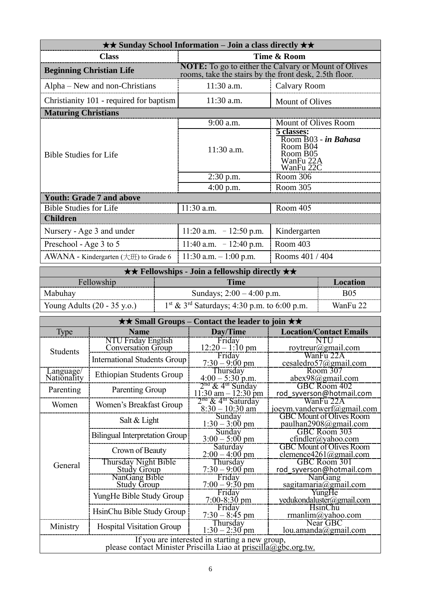| $\star\star$ Sunday School Information – Join a class directly $\star\star$ |                                                                                                                       |                                                                                      |  |  |
|-----------------------------------------------------------------------------|-----------------------------------------------------------------------------------------------------------------------|--------------------------------------------------------------------------------------|--|--|
| <b>Class</b>                                                                | Time & Room                                                                                                           |                                                                                      |  |  |
| <b>Beginning Christian Life</b>                                             | <b>NOTE:</b> To go to either the Calvary or Mount of Olives<br>rooms, take the stairs by the front desk, 2.5th floor. |                                                                                      |  |  |
| Alpha – New and non-Christians                                              | $11:30$ a.m.                                                                                                          | Calvary Room                                                                         |  |  |
| Christianity 101 - required for baptism                                     | $11:30$ a.m.                                                                                                          | <b>Mount of Olives</b>                                                               |  |  |
| <b>Maturing Christians</b>                                                  |                                                                                                                       |                                                                                      |  |  |
|                                                                             | 9:00 a.m.                                                                                                             | Mount of Olives Room                                                                 |  |  |
| <b>Bible Studies for Life</b>                                               | 11:30 a.m.                                                                                                            | 5 classes:<br>Room B03 - in Bahasa<br>Room B04<br>Room B05<br>WanFu 22A<br>WanFu 22C |  |  |
|                                                                             | $2:30$ p.m.                                                                                                           | Room 306                                                                             |  |  |
|                                                                             | $4:00$ p.m.                                                                                                           | Room 305                                                                             |  |  |
| <b>Youth: Grade 7 and above</b>                                             |                                                                                                                       |                                                                                      |  |  |
| <b>Bible Studies for Life</b>                                               | $11:30$ a.m.                                                                                                          | Room 405                                                                             |  |  |
| <b>Children</b>                                                             |                                                                                                                       |                                                                                      |  |  |
| Nursery - Age 3 and under                                                   | $11:20$ a.m. $-12:50$ p.m.                                                                                            | Kindergarten                                                                         |  |  |
| Preschool - Age 3 to 5                                                      | 11:40 a.m. $-12:40$ p.m.                                                                                              | Room 403                                                                             |  |  |
| AWANA - Kindergarten $(\pm \text{H})$ to Grade 6                            | 11:30 a.m. $-1:00$ p.m.                                                                                               | Rooms 401 / 404                                                                      |  |  |

| $\star \star$ Fellowships - Join a fellowship directly $\star \star$ |                                                           |            |  |  |
|----------------------------------------------------------------------|-----------------------------------------------------------|------------|--|--|
| Fellowship<br>Time<br>Location                                       |                                                           |            |  |  |
| Mabuhay                                                              | Sundays; $2:00 - 4:00$ p.m.                               | <b>B05</b> |  |  |
| Young Adults $(20 - 35 \text{ y.o.})$                                | $1st$ & 3 <sup>rd</sup> Saturdays; 4:30 p.m. to 6:00 p.m. | WanFu 22   |  |  |

| $\star\star$ Small Groups – Contact the leader to join $\star\star$                                               |                                            |                                                                 |                                                           |  |  |
|-------------------------------------------------------------------------------------------------------------------|--------------------------------------------|-----------------------------------------------------------------|-----------------------------------------------------------|--|--|
| Type                                                                                                              | <b>Name</b>                                | Day/Time                                                        | <b>Location/Contact Emails</b>                            |  |  |
| Students                                                                                                          | NTU Friday English<br>Conversation Group   | Friday<br>$12:20 - 1:10 \text{ pm}$                             | NTU<br>roytreur@gmail.com                                 |  |  |
|                                                                                                                   | <b>International Students Group</b>        | Friday<br>$7:30 - 9:00 \text{ pm}$                              | WanFu 22A<br>cesaledro57@gmail.com                        |  |  |
| Language/<br>Nationality                                                                                          | <b>Ethiopian Students Group</b>            | Thursday<br>$4:00 - 5:30$ p.m.                                  | Room 307<br>$abex98$ @gmail.com                           |  |  |
| Parenting                                                                                                         | Parenting Group                            | $2nd$ & 4 <sup>th</sup> Sunday<br>$11:30$ am $-12:30$ pm        | GBC Room 402<br>rod syverson@hotmail.com                  |  |  |
| Women                                                                                                             | Women's Breakfast Group                    | 2 <sup>na</sup> & 4 <sup>th</sup> Saturday<br>$8:30 - 10:30$ am | WanFu 22A<br>joeym.vanderwerf@gmail.com                   |  |  |
|                                                                                                                   | Salt & Light                               | Sunday<br>$1:30 - 3:00$ pm                                      | <b>GBC Mount of Olives Room</b><br>paulhan2908@gmail.com  |  |  |
|                                                                                                                   | Bilingual Interpretation Group             | Sunday<br>$3:00 - 5:00$ pm                                      | GBC Room 303<br>$cfindler(a)$ yahoo.com                   |  |  |
|                                                                                                                   | Crown of Beauty                            | Saturday<br>$2:00 - 4:00$ pm                                    | <b>GBC Mount of Olives Room</b><br>clemence4261@gmail.com |  |  |
| General                                                                                                           | Thursday Night Bible<br><b>Study Group</b> | Thursday<br>$7:30 - 9:00$ pm                                    | GBC Room 301<br>rod syverson@hotmail.com                  |  |  |
|                                                                                                                   | NanGang Bible<br><b>Study Group</b>        | Friday<br>$7:00 - 9:30$ pm                                      | NanGang<br>sagitamaria@gmail.com                          |  |  |
|                                                                                                                   | YungHe Bible Study Group                   | Friday<br>$7:00-8:30$ pm                                        | YungHe<br>yedukondaluster@gmail.com                       |  |  |
|                                                                                                                   | HsinChu Bible Study Group                  | Friday<br>$7:30 - 8:45$ pm                                      | <b>HsinChu</b><br>rmanlim@yahoo.com                       |  |  |
| Ministry                                                                                                          | <b>Hospital Visitation Group</b>           | Thursday<br>$1:30 - 2:30$ pm                                    | Near GBC<br>lou.amanda@gmail.com                          |  |  |
| If you are interested in starting a new group,<br>please contact Minister Priscilla Liao at priscilla@gbc.org.tw. |                                            |                                                                 |                                                           |  |  |